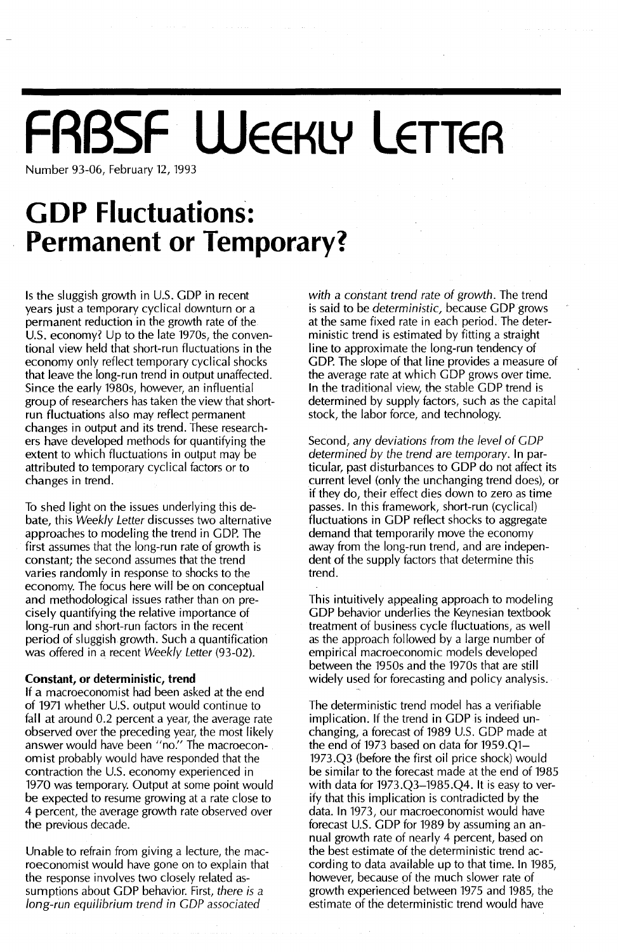# **FRBSF WEEKLY LETTER**

Number 93-06, February 12, 1993

## **GDP Fluctuations: Permanent or Temporary?**

Is the sluggish growth in U.s. GOP in recent years just a temporary cyclical downturn or a permanent reduction in the growth rate of the U.S. economy? Up to the late 1970s, the conventional view held that short-run fluctuations in the economy only reflect temporary cyclical shocks that leave the long-run trend in output unaffected. Since the early 1980s, however, an influential group of researchers has taken the view that shortrun fluctuations also may reflect permanent changes in output and its trend. These researchers have developed methods for quantifying the extent to which fluctuations in output may be attributed to temporary cyclical factors or to<br>changes in trend.

To shed light on the issues underlying this debate, this *Weekly Letter* discusses two alternative approaches to modeling the trend in GOP. The first assumes that the long-run rate of growth is constant; the second assumes that the trend varies randomly in response to shocks to the economy. The focus here will be on conceptual and methodological issues rather than on precisely quantifying the relative importance of long-run and short-run factors in the recent period of sluggish growth. Such a quantification was offered in a recent *Weekly Letter (93-02).*

#### **Constant, or deterministic, trend**

If a macroeconomist had been asked at the end of 1971 whether U.S. output would continue to fall at around 0.2 percent a year, the average rate observed over the preceding year, the most likely answer would have been "no." The macroeconomist probably would have responded that the contraction the U.S. economy experienced in 1970 was temporary. Output at some point would be expected to resume growing at a rate close to 4 percent, the average growth rate observed over the previous decade.

Unable to refrain from giving a lecture, the macroeconomist would have gone on to explain that the response involves two closely related assumptions about GOP behavior. First, *there is* a *long-run equilibrium trend in COP associated*

*with* a *constant trend rate* of *growth.* The trend is said to be *deterministic,* because GOP grows at the same fixed rate in each period. The deterministic trend is estimated by fitting a straight line to approximate the long-run tendency of GOP. The slope of that line provides a measure of the average rate at which GOP grows over time. In the traditional view, the stable GDP trend is determined by supply factors, such as the capital stock, the labor force, and technology.

Second, *any deviations from the level* of *COP determined by the trend are temporary.* In particular, past disturbances to GOP do not affect its current level (only the unchanging trend does), or if they do, their effect dies down to zero as time passes. In this framework, short-run (cyclical) fluctuations in GOP reflect shocks to aggregate demand that temporarily move the economy away from the long-run trend, and are independent of the supply factors that determine this trend.

This intuitively appealing approach to modeling GOP behavior underlies the Keynesian textbook treatment of business cycle fluctuations, as well as the approach followed by a large number of empirical macroeconomic models developed between the 1950s and the 1970s that are still widely used for forecasting and policy analysis.

The deterministic trend model has a verifiable implication. If the trend in GOP is indeed unchanging, a forecast of 1989 U.S. GOP made at the end of 1973 based on data for 1959.Q1- 1973.Q3 (before the first oil price shock) would be similar to the forecast made at the end of 1985 with data for 1973.Q3-1985.Q4. It is easy to verify that this implication is contradicted by the data. In 1973, our macroeconomist would have forecast U.S. GDP for 1989 by assuming an annual growth rate of nearly 4 percent, based on the best estimate of the deterministic trend according to data available up to that time. In 1985, however, because of the much slower rate of growth experienced between 1975 and 1985, the estimate of the deterministic trend would have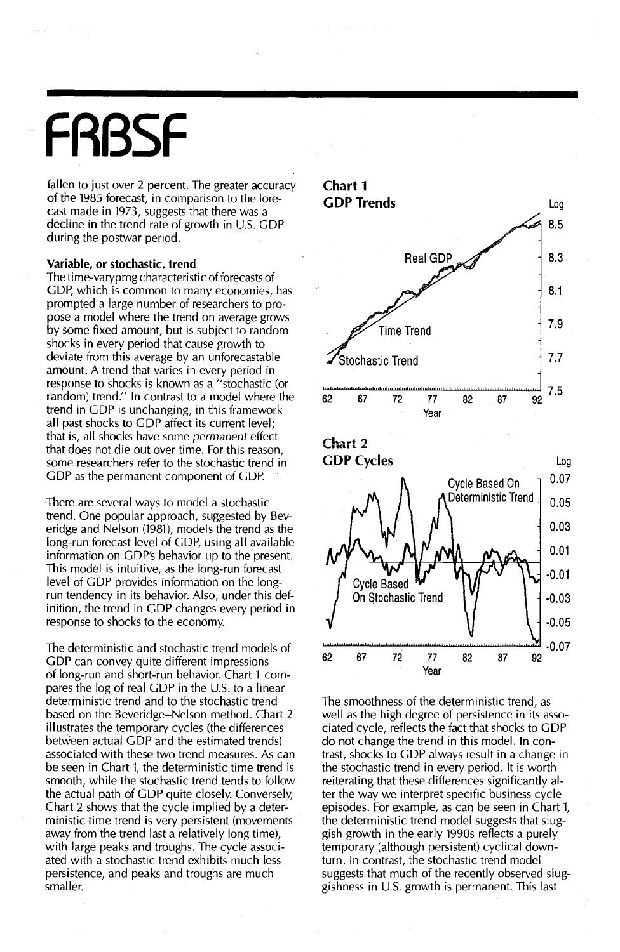## **FRBSF**

fallen to just over 2 percent. The greater accuracy of the 1985 forecast, in comparison to the forecast made in 1973, suggests that there was a decline in the trend rate of growth in U.s. GOP during the postwar period.

#### **Variable, or stochastic, trend**

The time-varypmg characteristic of forecasts of GDP, which is common to many economies, has prompted a large number of researchers to propose a model where the trend on average grows by some fixed amount, but is subject to random shocks in every period that cause growth to deviate from this average by an unforecastable amount. A trend that varies in every period in response to shocks is known as a "stochastic (or random) trend." In contrast to a model where the trend in GOP is unchanging, in this framework all past shocks to GOP affect its current level; that is, all shocks have some permanent effect that does not die out over time. For this reason, some researchers refer to the stochastic trend in GOP as the permanent component of GOP.

There are several ways to model a stochastic trend. One popular approach, suggested by Beveridge and Nelson (1981), models the trend as the long-run forecast level of GDP, using all available information on GOP's behavior up to the present. This model is intuitive, as the long-run forecast level of GOP provides information on the longrun tendency in its behavior. Also, under this definition, the trend in GOP changes every period in response to shocks to the economy.

The deterministic and stochastic trend models of GOP can convey quite different impressions of long-run and short-run behavior. Chart 1 compares the log of real GDP in the U.S. to a linear deterministic trend and to the stochastic trend based on the Beveridge-Nelson method. Chart 2 illustrates the temporary cycles (the differences between actual GOP and the estimated trends) associated with these two trend measures. As can be seen in Chart 1, the deterministic time trend is smooth, while the stochastic trend tends to follow the actual path of GDP quite closely. Conversely, Chart 2 shows that the cycle implied by a deterministic time trend is very persistent (movements away from the trend last a relatively long time), with large peaks and troughs. The cycle associated with a stochastic trend exhibits much less persistence, and peaks and troughs are much smaller.



The smoothness of the deterministic trend, as well as the high degree of persistence in its associated cycle, reflects the fact that shocks to GOP do not change the trend in this model. In contrast, shocks to GOP always result in a change in the stochastic trend in every period. It is worth reiterating that these differences significantly alter the way we interpret specific business cycle episodes. For example, as can be seen in Chart 1, the deterministic trend model suggests that sluggish growth in the early 1990s reflects a purely temporary (although persistent) cyclical downturn. In contrast, the stochastic trend model suggests that much of the recently observed sluggishness in U.S. growth is permanent. This last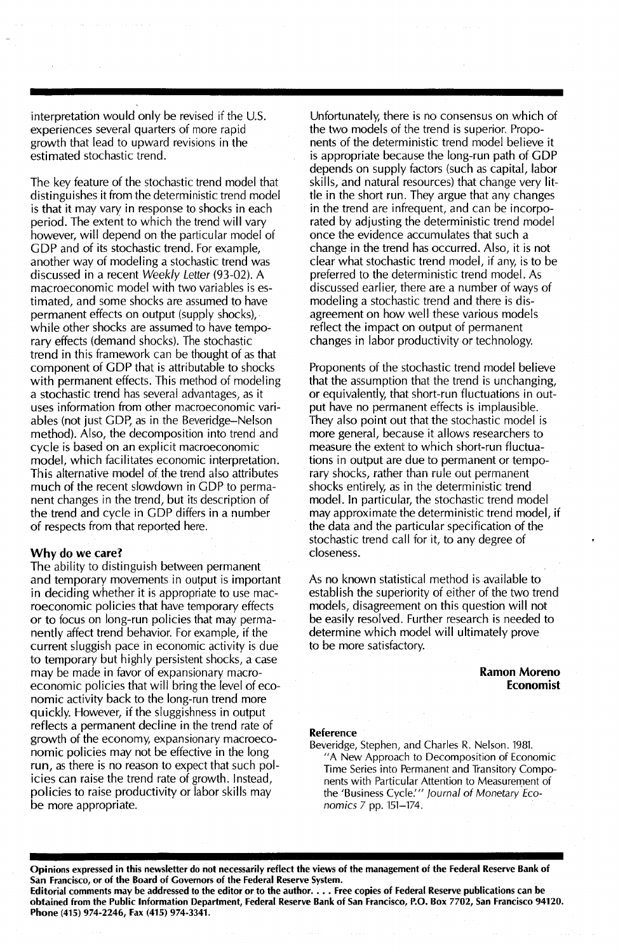interpretation would only be revised if the U.S. experiences several quarters of more rapid growth that lead to upward revisions in the estimated stochastic trend.

The key feature of the stochastic trend model that distinguishes it from the deterministic trend model is that it may vary in response to shocks in each period. The extent to which the trend will vary however, will depend on the particular model of GOP and of its stochastic trend. For example, another way of modeling a stochastic trend was discussed in a recent Weekly Letter (93-02). A macroeconomic model with two variables is estimated, and some shocks are assumed to have permanent effects on output (supply shocks), while other shocks are assumed to have temporary effects (demand shocks). The stochastic trend in this framework can be thought of as that component of GOP that is attributable to shocks with permanent effects. This method of modeling a stochastic trend has several advantages, as it uses information from other macroeconomic variables (not just GDP, as in the Beveridge-Nelson method). Also, the decomposition into trend and cycle is based on an explicit macroeconomic model, which facilitates economic interpretation. This alternative model of the trend also attributes much of the recent slowdown in GOP to permanent changes in the trend, but its description of the trend and cycle in GOP differs in a number of respects from that reported here.

#### Why do we care?

The ability to distinguish between permanent and temporary movements in output is important in deciding whether it is appropriate to use macroeconomic policies that have temporary effects or to focus on long-run policies that may permanently affect trend behavior. For example, if the current sluggish pace in economic activity is due to temporary but highly persistent shocks, a case may be made in favor of expansionary macroeconomic policies that will bring the level of economic activity back to the long-run trend more quickly. However, if the sluggishness in output reflects a permanent decline in the trend rate of growth of the economy, expansionary macroeconomic policies may not be effective in the long run, as there is no reason to expect that such policies can raise the trend rate of growth. Instead, policies to raise productivity or labor skills may be more appropriate.

Unfortunately, there is no consensus on which of the two models of the trend is superior. Proponents of the deterministic trend model believe it is appropriate because the long-run path of GOP depends on supply factors (such as capital, labor skills, and natural resources) that change very little in the short run. They argue that any changes in the trend are infrequent, and can be incorporated by adjusting the deterministic trend model once the evidence accumulates that such a change in the trend has occurred. Also, it is not clear what stochastic trend model, if any, is to be preferred to the deterministic trend model. As discussed earlier, there are a number of ways of modeling a stochastic trend and there is disagreement on how well these various models reflect the impact on output of permanent changes in labor productivity or technology.

Proponents of the stochastic trend model believe that the assumption that the trend is unchanging, or equivalently, that short-run fluctuations in output have no permanent effects is implausible. They also point out that the stochastic model is more general, because it allows researchers to measure the extent to which short-run fluctuations in output are due to permanent or temporary shocks, rather than rule out permanent shocks entirely, as in the deterministic trend model. In particular, the stochastic trend model may approximate the deterministic trend model, if the data and the particular specification of the stochastic trend call for it, to any degree of closeness.

As no known statistical method is available to establish the superiority of either of the two trend models, disagreement on this question will not be easily resolved. Further research is needed to determine which model will ultimately prove to be more satisfactory.

#### Ramon Moreno Economist

#### Reference

Beveridge, Stephen, and Charles R. Nelson. 1981 "A New Approach to Decomposition of Economic Time Series into Permanent and Transitory Components with Particular Attention to Measurement of the 'Business Cycle.'" Journal of Monetary Economics 7 pp. 151-174.

Opinions expressed in this newsletter do not necessarily reflect the views of the management of the Federal Reserve Bank of San Francisco, or of the Board of Governors of the Federal Reserve System.

Editorial comments may be addressed to the editor or to the author..•. Free copies of Federal Reserve publications can be obtained from the Public Information Department, Federal Reserve Bank of San Francisco, P.O. Box 7702, San Francisco 94120. Phone (415) 974-2246, Fax (415) 974-3341.